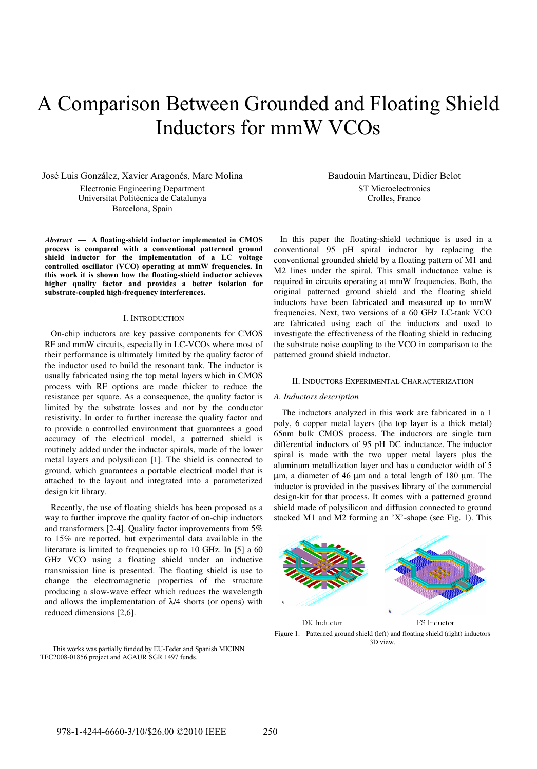# A Comparison Between Grounded and Floating Shield Inductors for mmW VCOs

José Luis González, Xavier Aragonés, Marc Molina Electronic Engineering Department Universitat Politècnica de Catalunya Barcelona, Spain

*Abstract* **— A floating-shield inductor implemented in CMOS process is compared with a conventional patterned ground shield inductor for the implementation of a LC voltage controlled oscillator (VCO) operating at mmW frequencies. In this work it is shown how the floating-shield inductor achieves higher quality factor and provides a better isolation for substrate-coupled high-frequency interferences.** 

### I. INTRODUCTION

On-chip inductors are key passive components for CMOS RF and mmW circuits, especially in LC-VCOs where most of their performance is ultimately limited by the quality factor of the inductor used to build the resonant tank. The inductor is usually fabricated using the top metal layers which in CMOS process with RF options are made thicker to reduce the resistance per square. As a consequence, the quality factor is limited by the substrate losses and not by the conductor resistivity. In order to further increase the quality factor and to provide a controlled environment that guarantees a good accuracy of the electrical model, a patterned shield is routinely added under the inductor spirals, made of the lower metal layers and polysilicon [1]. The shield is connected to ground, which guarantees a portable electrical model that is attached to the layout and integrated into a parameterized design kit library.

Recently, the use of floating shields has been proposed as a way to further improve the quality factor of on-chip inductors and transformers [2-4]. Quality factor improvements from 5% to 15% are reported, but experimental data available in the literature is limited to frequencies up to 10 GHz. In [5] a 60 GHz VCO using a floating shield under an inductive transmission line is presented. The floating shield is use to change the electromagnetic properties of the structure producing a slow-wave effect which reduces the wavelength and allows the implementation of  $\lambda$ /4 shorts (or opens) with reduced dimensions [2,6].

This works was partially funded by EU-Feder and Spanish MICINN TEC2008-01856 project and AGAUR SGR 1497 funds.

Baudouin Martineau, Didier Belot ST Microelectronics Crolles, France

In this paper the floating-shield technique is used in a conventional 95 pH spiral inductor by replacing the conventional grounded shield by a floating pattern of M1 and M2 lines under the spiral. This small inductance value is required in circuits operating at mmW frequencies. Both, the original patterned ground shield and the floating shield inductors have been fabricated and measured up to mmW frequencies. Next, two versions of a 60 GHz LC-tank VCO are fabricated using each of the inductors and used to investigate the effectiveness of the floating shield in reducing the substrate noise coupling to the VCO in comparison to the patterned ground shield inductor.

## II. INDUCTORS EXPERIMENTAL CHARACTERIZATION

#### *A. Inductors description*

The inductors analyzed in this work are fabricated in a 1 poly, 6 copper metal layers (the top layer is a thick metal) 65nm bulk CMOS process. The inductors are single turn differential inductors of 95 pH DC inductance. The inductor spiral is made with the two upper metal layers plus the aluminum metallization layer and has a conductor width of 5 μm, a diameter of 46 μm and a total length of 180 μm. The inductor is provided in the passives library of the commercial design-kit for that process. It comes with a patterned ground shield made of polysilicon and diffusion connected to ground stacked M1 and M2 forming an 'X'-shape (see Fig. 1). This



Figure 1. Patterned ground shield (left) and floating shield (right) inductors 3D view.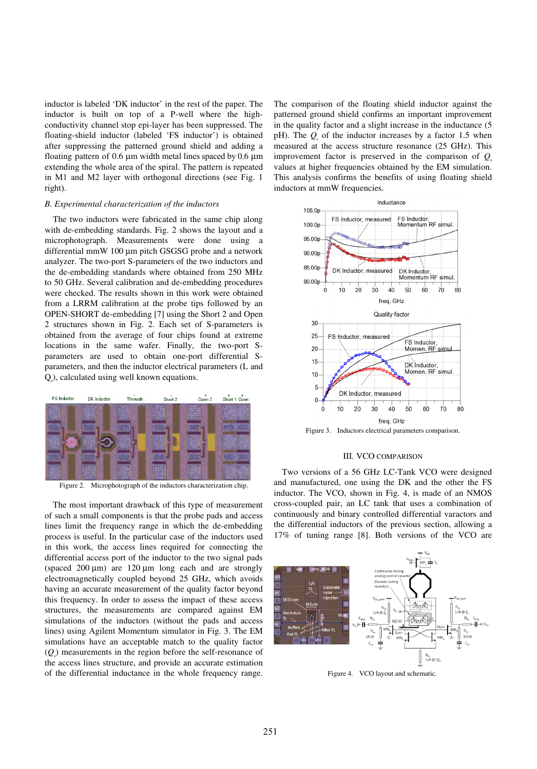inductor is labeled 'DK inductor' in the rest of the paper. The inductor is built on top of a P-well where the highconductivity channel stop epi-layer has been suppressed. The floating-shield inductor (labeled 'FS inductor') is obtained after suppressing the patterned ground shield and adding a floating pattern of 0.6  $\mu$ m width metal lines spaced by 0.6  $\mu$ m extending the whole area of the spiral. The pattern is repeated in M1 and M2 layer with orthogonal directions (see Fig. 1 right).

## *B. Experimental characterization of the inductors*

The two inductors were fabricated in the same chip along with de-embedding standards. Fig. 2 shows the layout and a microphotograph. Measurements were done using a differential mmW 100 μm pitch GSGSG probe and a network analyzer. The two-port S-parameters of the two inductors and the de-embedding standards where obtained from 250 MHz to 50 GHz. Several calibration and de-embedding procedures were checked. The results shown in this work were obtained from a LRRM calibration at the probe tips followed by an OPEN-SHORT de-embedding [7] using the Short 2 and Open 2 structures shown in Fig. 2. Each set of S-parameters is obtained from the average of four chips found at extreme locations in the same wafer. Finally, the two-port Sparameters are used to obtain one-port differential Sparameters, and then the inductor electrical parameters (L and Qs ), calculated using well known equations.



Figure 2. Microphotograph of the inductors characterization chip.

The most important drawback of this type of measurement of such a small components is that the probe pads and access lines limit the frequency range in which the de-embedding process is useful. In the particular case of the inductors used in this work, the access lines required for connecting the differential access port of the inductor to the two signal pads (spaced 200 μm) are 120 μm long each and are strongly electromagnetically coupled beyond 25 GHz, which avoids having an accurate measurement of the quality factor beyond this frequency. In order to assess the impact of these access structures, the measurements are compared against EM simulations of the inductors (without the pads and access lines) using Agilent Momentum simulator in Fig. 3. The EM simulations have an acceptable match to the quality factor (*Qs* ) measurements in the region before the self-resonance of the access lines structure, and provide an accurate estimation of the differential inductance in the whole frequency range.

The comparison of the floating shield inductor against the patterned ground shield confirms an important improvement in the quality factor and a slight increase in the inductance (5 pH). The  $Q<sub>s</sub>$  of the inductor increases by a factor 1.5 when measured at the access structure resonance (25 GHz). This improvement factor is preserved in the comparison of  $Q_s$ values at higher frequencies obtained by the EM simulation. This analysis confirms the benefits of using floating shield inductors at mmW frequencies.



Figure 3. Inductors electrical parameters comparison.

#### III. VCO COMPARISON

Two versions of a 56 GHz LC-Tank VCO were designed and manufactured, one using the DK and the other the FS inductor. The VCO, shown in Fig. 4, is made of an NMOS cross-coupled pair, an LC tank that uses a combination of continuously and binary controlled differential varactors and the differential inductors of the previous section, allowing a 17% of tuning range [8]. Both versions of the VCO are



Figure 4. VCO layout and schematic.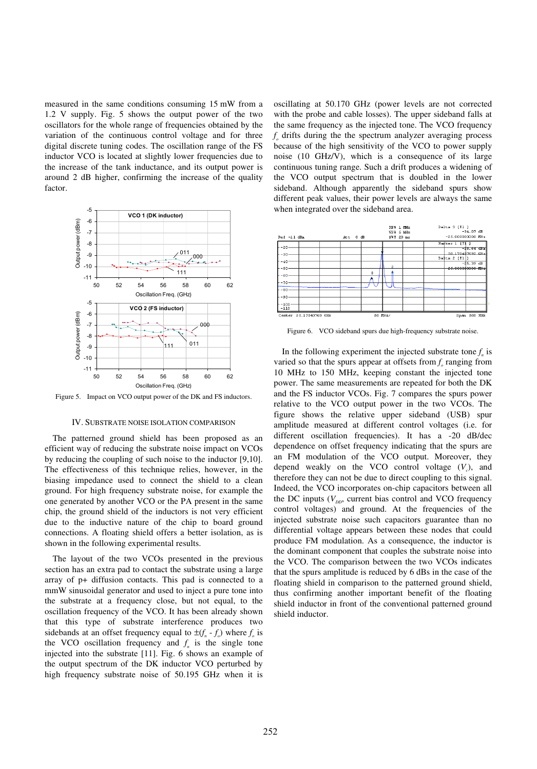measured in the same conditions consuming 15 mW from a 1.2 V supply. Fig. 5 shows the output power of the two oscillators for the whole range of frequencies obtained by the variation of the continuous control voltage and for three digital discrete tuning codes. The oscillation range of the FS inductor VCO is located at slightly lower frequencies due to the increase of the tank inductance, and its output power is around 2 dB higher, confirming the increase of the quality factor.



Figure 5. Impact on VCO output power of the DK and FS inductors.

#### IV. SUBSTRATE NOISE ISOLATION COMPARISON

The patterned ground shield has been proposed as an efficient way of reducing the substrate noise impact on VCOs by reducing the coupling of such noise to the inductor [9,10]. The effectiveness of this technique relies, however, in the biasing impedance used to connect the shield to a clean ground. For high frequency substrate noise, for example the one generated by another VCO or the PA present in the same chip, the ground shield of the inductors is not very efficient due to the inductive nature of the chip to board ground connections. A floating shield offers a better isolation, as is shown in the following experimental results.

The layout of the two VCOs presented in the previous section has an extra pad to contact the substrate using a large array of p+ diffusion contacts. This pad is connected to a mmW sinusoidal generator and used to inject a pure tone into the substrate at a frequency close, but not equal, to the oscillation frequency of the VCO. It has been already shown that this type of substrate interference produces two sidebands at an offset frequency equal to  $\pm(f_n - f_o)$  where  $f_o$  is the VCO oscillation frequency and  $f_n$  is the single tone injected into the substrate [11]. Fig. 6 shows an example of the output spectrum of the DK inductor VCO perturbed by high frequency substrate noise of 50.195 GHz when it is

oscillating at 50.170 GHz (power levels are not corrected with the probe and cable losses). The upper sideband falls at the same frequency as the injected tone. The VCO frequency  $f<sub>a</sub>$  drifts during the the spectrum analyzer averaging process because of the high sensitivity of the VCO to power supply noise (10 GHz/V), which is a consequence of its large continuous tuning range. Such a drift produces a widening of the VCO output spectrum that is doubled in the lower sideband. Although apparently the sideband spurs show different peak values, their power levels are always the same when integrated over the sideband area.



Figure 6. VCO sideband spurs due high-frequency substrate noise.

In the following experiment the injected substrate tone  $f_n$  is varied so that the spurs appear at offsets from  $f<sub>o</sub>$  ranging from 10 MHz to 150 MHz, keeping constant the injected tone power. The same measurements are repeated for both the DK and the FS inductor VCOs. Fig. 7 compares the spurs power relative to the VCO output power in the two VCOs. The figure shows the relative upper sideband (USB) spur amplitude measured at different control voltages (i.e. for different oscillation frequencies). It has a -20 dB/dec dependence on offset frequency indicating that the spurs are an FM modulation of the VCO output. Moreover, they depend weakly on the VCO control voltage  $(V_c)$ , and therefore they can not be due to direct coupling to this signal. Indeed, the VCO incorporates on-chip capacitors between all the DC inputs  $(V_{pp}$ , current bias control and VCO frequency control voltages) and ground. At the frequencies of the injected substrate noise such capacitors guarantee than no differential voltage appears between these nodes that could produce FM modulation. As a consequence, the inductor is the dominant component that couples the substrate noise into the VCO. The comparison between the two VCOs indicates that the spurs amplitude is reduced by 6 dBs in the case of the floating shield in comparison to the patterned ground shield, thus confirming another important benefit of the floating shield inductor in front of the conventional patterned ground shield inductor.